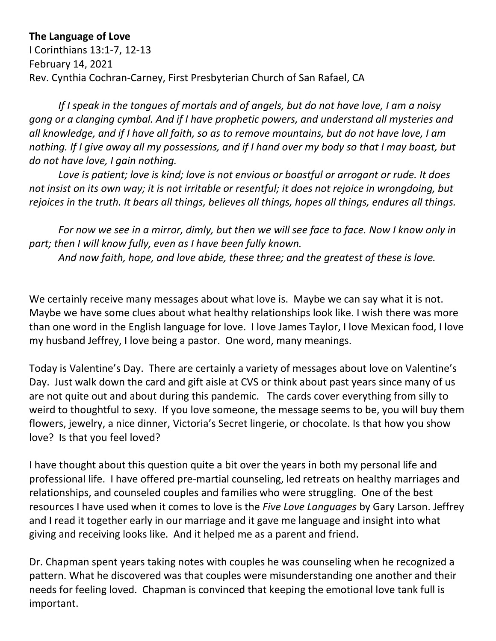# **The Language of Love**

I Corinthians 13:1-7, 12-13 February 14, 2021 Rev. Cynthia Cochran-Carney, First Presbyterian Church of San Rafael, CA

*If I speak in the tongues of mortals and of angels, but do not have love, I am a noisy gong or a clanging cymbal. And if I have prophetic powers, and understand all mysteries and all knowledge, and if I have all faith, so as to remove mountains, but do not have love, I am nothing. If I give away all my possessions, and if I hand over my body so that I may boast, but do not have love, I gain nothing.*

*Love is patient; love is kind; love is not envious or boastful or arrogant or rude. It does not insist on its own way; it is not irritable or resentful; it does not rejoice in wrongdoing, but rejoices in the truth. It bears all things, believes all things, hopes all things, endures all things.*

*For now we see in a mirror, dimly, but then we will see face to face. Now I know only in part; then I will know fully, even as I have been fully known. And now faith, hope, and love abide, these three; and the greatest of these is love.*

We certainly receive many messages about what love is. Maybe we can say what it is not. Maybe we have some clues about what healthy relationships look like. I wish there was more than one word in the English language for love. I love James Taylor, I love Mexican food, I love my husband Jeffrey, I love being a pastor. One word, many meanings.

Today is Valentine's Day. There are certainly a variety of messages about love on Valentine's Day. Just walk down the card and gift aisle at CVS or think about past years since many of us are not quite out and about during this pandemic. The cards cover everything from silly to weird to thoughtful to sexy. If you love someone, the message seems to be, you will buy them flowers, jewelry, a nice dinner, Victoria's Secret lingerie, or chocolate. Is that how you show love? Is that you feel loved?

I have thought about this question quite a bit over the years in both my personal life and professional life. I have offered pre-martial counseling, led retreats on healthy marriages and relationships, and counseled couples and families who were struggling. One of the best resources I have used when it comes to love is the *Five Love Languages* by Gary Larson. Jeffrey and I read it together early in our marriage and it gave me language and insight into what giving and receiving looks like. And it helped me as a parent and friend.

Dr. Chapman spent years taking notes with couples he was counseling when he recognized a pattern. What he discovered was that couples were misunderstanding one another and their needs for feeling loved. Chapman is convinced that keeping the emotional love tank full is important.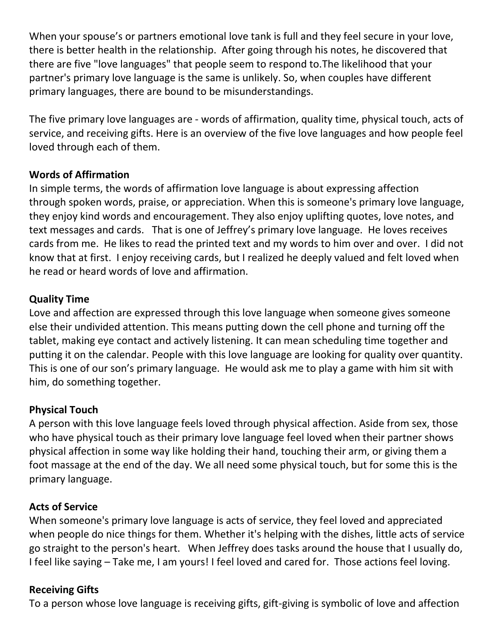When your spouse's or partners emotional love tank is full and they feel secure in your love, there is better health in the relationship. After going through his notes, he discovered that there are five "love languages" that people seem to respond to.The likelihood that your partner's primary love language is the same is unlikely. So, when couples have different primary languages, there are bound to be misunderstandings.

The five primary love languages are - words of affirmation, quality time, physical touch, acts of service, and receiving gifts. Here is an overview of the five love languages and how people feel loved through each of them.

#### **Words of Affirmation**

In simple terms, the words of affirmation love language is about expressing affection through spoken words, praise, or appreciation. When this is someone's primary love language, they enjoy kind words and encouragement. They also enjoy uplifting quotes, love notes, and text messages and cards. That is one of Jeffrey's primary love language. He loves receives cards from me. He likes to read the printed text and my words to him over and over. I did not know that at first. I enjoy receiving cards, but I realized he deeply valued and felt loved when he read or heard words of love and affirmation.

# **Quality Time**

Love and affection are expressed through this love language when someone gives someone else their undivided attention. This means putting down the cell phone and turning off the tablet, making eye contact and actively listening. It can mean scheduling time together and putting it on the calendar. People with this love language are looking for quality over quantity. This is one of our son's primary language. He would ask me to play a game with him sit with him, do something together.

# **Physical Touch**

A person with this love language feels loved through physical affection. Aside from sex, those who have physical touch as their primary love language feel loved when their partner shows physical affection in some way like holding their hand, touching their arm, or giving them a foot massage at the end of the day. We all need some physical touch, but for some this is the primary language.

# **Acts of Service**

When someone's primary love language is acts of service, they feel loved and appreciated when people do nice things for them. Whether it's helping with the dishes, little acts of service go straight to the person's heart. When Jeffrey does tasks around the house that I usually do, I feel like saying – Take me, I am yours! I feel loved and cared for. Those actions feel loving.

# **Receiving Gifts**

To a person whose love language is receiving gifts, gift-giving is symbolic of love and affection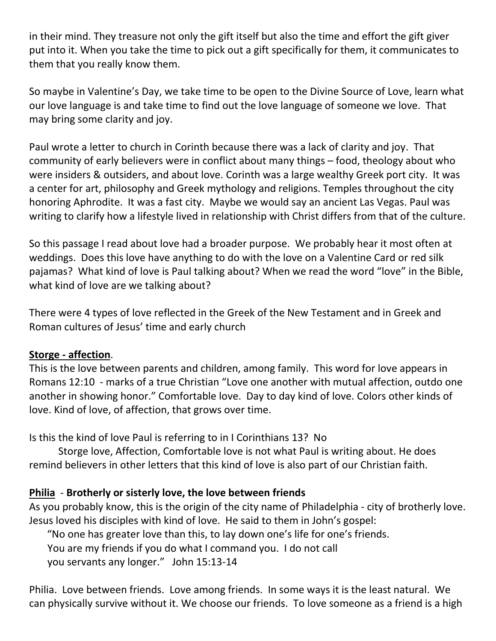in their mind. They treasure not only the gift itself but also the time and effort the gift giver put into it. When you take the time to pick out a gift specifically for them, it communicates to them that you really know them.

So maybe in Valentine's Day, we take time to be open to the Divine Source of Love, learn what our love language is and take time to find out the love language of someone we love. That may bring some clarity and joy.

Paul wrote a letter to church in Corinth because there was a lack of clarity and joy. That community of early believers were in conflict about many things – food, theology about who were insiders & outsiders, and about love. Corinth was a large wealthy Greek port city. It was a center for art, philosophy and Greek mythology and religions. Temples throughout the city honoring Aphrodite. It was a fast city. Maybe we would say an ancient Las Vegas. Paul was writing to clarify how a lifestyle lived in relationship with Christ differs from that of the culture.

So this passage I read about love had a broader purpose. We probably hear it most often at weddings. Does this love have anything to do with the love on a Valentine Card or red silk pajamas? What kind of love is Paul talking about? When we read the word "love" in the Bible, what kind of love are we talking about?

There were 4 types of love reflected in the Greek of the New Testament and in Greek and Roman cultures of Jesus' time and early church

#### **Storge - affection**.

This is the love between parents and children, among family. This word for love appears in Romans 12:10 - marks of a true Christian "Love one another with mutual affection, outdo one another in showing honor." Comfortable love. Day to day kind of love. Colors other kinds of love. Kind of love, of affection, that grows over time.

Is this the kind of love Paul is referring to in I Corinthians 13? No

Storge love, Affection, Comfortable love is not what Paul is writing about. He does remind believers in other letters that this kind of love is also part of our Christian faith.

# **Philia** - **Brotherly or sisterly love, the love between friends**

As you probably know, this is the origin of the city name of Philadelphia - city of brotherly love. Jesus loved his disciples with kind of love. He said to them in John's gospel:

 "No one has greater love than this, to lay down one's life for one's friends. You are my friends if you do what I command you. I do not call you servants any longer." John 15:13-14

Philia. Love between friends. Love among friends. In some ways it is the least natural. We can physically survive without it. We choose our friends. To love someone as a friend is a high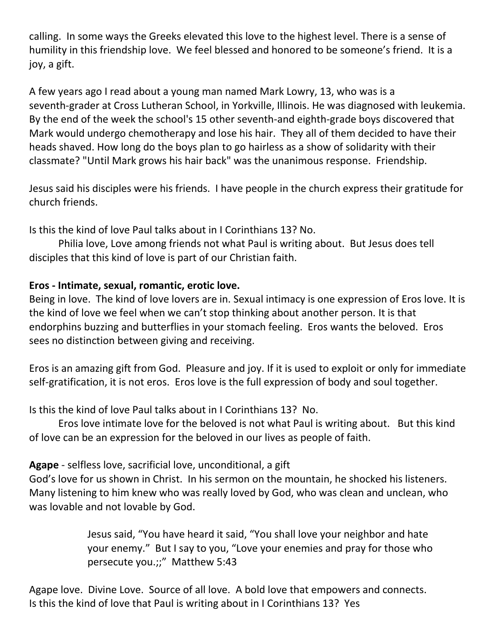calling. In some ways the Greeks elevated this love to the highest level. There is a sense of humility in this friendship love. We feel blessed and honored to be someone's friend. It is a joy, a gift.

A few years ago I read about a young man named Mark Lowry, 13, who was is a seventh-grader at Cross Lutheran School, in Yorkville, Illinois. He was diagnosed with leukemia. By the end of the week the school's 15 other seventh-and eighth-grade boys discovered that Mark would undergo chemotherapy and lose his hair. They all of them decided to have their heads shaved. How long do the boys plan to go hairless as a show of solidarity with their classmate? "Until Mark grows his hair back" was the unanimous response. Friendship.

Jesus said his disciples were his friends. I have people in the church express their gratitude for church friends.

Is this the kind of love Paul talks about in I Corinthians 13? No.

Philia love, Love among friends not what Paul is writing about. But Jesus does tell disciples that this kind of love is part of our Christian faith.

# **Eros - Intimate, sexual, romantic, erotic love.**

Being in love. The kind of love lovers are in. Sexual intimacy is one expression of Eros love. It is the kind of love we feel when we can't stop thinking about another person. It is that endorphins buzzing and butterflies in your stomach feeling. Eros wants the beloved. Eros sees no distinction between giving and receiving.

Eros is an amazing gift from God. Pleasure and joy. If it is used to exploit or only for immediate self-gratification, it is not eros. Eros love is the full expression of body and soul together.

Is this the kind of love Paul talks about in I Corinthians 13? No.

Eros love intimate love for the beloved is not what Paul is writing about. But this kind of love can be an expression for the beloved in our lives as people of faith.

**Agape** - selfless love, sacrificial love, unconditional, a gift

God's love for us shown in Christ. In his sermon on the mountain, he shocked his listeners. Many listening to him knew who was really loved by God, who was clean and unclean, who was lovable and not lovable by God.

> Jesus said, "You have heard it said, "You shall love your neighbor and hate your enemy." But I say to you, "Love your enemies and pray for those who persecute you.;;" Matthew 5:43

Agape love. Divine Love. Source of all love. A bold love that empowers and connects. Is this the kind of love that Paul is writing about in I Corinthians 13? Yes